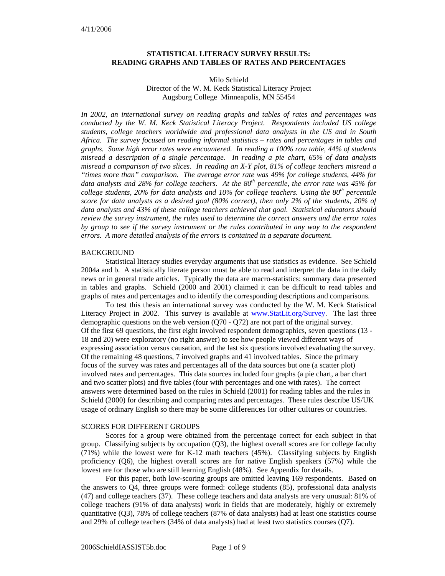# **STATISTICAL LITERACY SURVEY RESULTS: READING GRAPHS AND TABLES OF RATES AND PERCENTAGES**

### Milo Schield Director of the W. M. Keck Statistical Literacy Project Augsburg College Minneapolis, MN 55454

*In 2002, an international survey on reading graphs and tables of rates and percentages was conducted by the W. M. Keck Statistical Literacy Project. Respondents included US college students, college teachers worldwide and professional data analysts in the US and in South Africa. The survey focused on reading informal statistics – rates and percentages in tables and graphs. Some high error rates were encountered. In reading a 100% row table, 44% of students misread a description of a single percentage. In reading a pie chart, 65% of data analysts misread a comparison of two slices. In reading an X-Y plot, 81% of college teachers misread a "times more than" comparison. The average error rate was 49% for college students, 44% for*  data analysts and 28% for college teachers. At the 80<sup>th</sup> percentile, the error rate was 45% for *college students, 20% for data analysts and 10% for college teachers. Using the*  $80<sup>th</sup>$  *percentile score for data analysts as a desired goal (80% correct), then only 2% of the students, 20% of data analysts and 43% of these college teachers achieved that goal. Statistical educators should review the survey instrument, the rules used to determine the correct answers and the error rates by group to see if the survey instrument or the rules contributed in any way to the respondent errors. A more detailed analysis of the errors is contained in a separate document.* 

# BACKGROUND

Statistical literacy studies everyday arguments that use statistics as evidence. See Schield 2004a and b. A statistically literate person must be able to read and interpret the data in the daily news or in general trade articles. Typically the data are macro-statistics: summary data presented in tables and graphs. Schield (2000 and 2001) claimed it can be difficult to read tables and graphs of rates and percentages and to identify the corresponding descriptions and comparisons.

To test this thesis an international survey was conducted by the W. M. Keck Statistical Literacy Project in 2002. This survey is available at www.StatLit.org/Survey. The last three demographic questions on the web version (Q70 - Q72) are not part of the original survey. Of the first 69 questions, the first eight involved respondent demographics, seven questions (13 - 18 and 20) were exploratory (no right answer) to see how people viewed different ways of expressing association versus causation, and the last six questions involved evaluating the survey. Of the remaining 48 questions, 7 involved graphs and 41 involved tables. Since the primary focus of the survey was rates and percentages all of the data sources but one (a scatter plot) involved rates and percentages. This data sources included four graphs (a pie chart, a bar chart and two scatter plots) and five tables (four with percentages and one with rates). The correct answers were determined based on the rules in Schield (2001) for reading tables and the rules in Schield (2000) for describing and comparing rates and percentages. These rules describe US/UK usage of ordinary English so there may be some differences for other cultures or countries.

### SCORES FOR DIFFERENT GROUPS

Scores for a group were obtained from the percentage correct for each subject in that group. Classifying subjects by occupation (Q3), the highest overall scores are for college faculty (71%) while the lowest were for K-12 math teachers (45%). Classifying subjects by English proficiency (Q6), the highest overall scores are for native English speakers (57%) while the lowest are for those who are still learning English (48%). See Appendix for details.

For this paper, both low-scoring groups are omitted leaving 169 respondents. Based on the answers to Q4, three groups were formed: college students (85), professional data analysts (47) and college teachers (37). These college teachers and data analysts are very unusual: 81% of college teachers (91% of data analysts) work in fields that are moderately, highly or extremely quantitative (Q3), 78% of college teachers (87% of data analysts) had at least one statistics course and 29% of college teachers (34% of data analysts) had at least two statistics courses (Q7).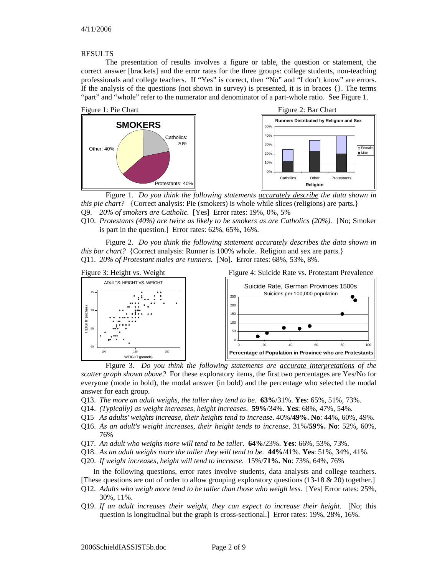#### RESULTS

The presentation of results involves a figure or table, the question or statement, the correct answer [brackets] and the error rates for the three groups: college students, non-teaching professionals and college teachers. If "Yes" is correct, then "No" and "I don't know" are errors. If the analysis of the questions (not shown in survey) is presented, it is in braces {}. The terms "part" and "whole" refer to the numerator and denominator of a part-whole ratio. See Figure 1.



Figure 1. *Do you think the following statements accurately describe the data shown in this pie chart?* {Correct analysis: Pie (smokers) is whole while slices (religions) are parts.} Q9. *20% of smokers are Catholic.* [Yes] Error rates: 19%, 0%, 5%

Q10. *Protestants (40%) are twice as likely to be smokers as are Catholics (20%).* [No; Smoker is part in the question.] Error rates: 62%, 65%, 16%.

Figure 2. *Do you think the following statement accurately describes the data shown in this bar chart?* {Correct analysis: Runner is 100% whole. Religion and sex are parts.} Q11. *20% of Protestant males are runners.* [No]. Error rates: 68%, 53%, 8%.



Figure 3. *Do you think the following statements are accurate interpretations of the scatter graph shown above?* For these exploratory items, the first two percentages are Yes/No for everyone (mode in bold), the modal answer (in bold) and the percentage who selected the modal answer for each group.

- Q13. *The more an adult weighs, the taller they tend to be.* **63%**/31%. **Yes**: 65%, 51%, 73%.
- Q14. *(Typically) as weight increases, height increases*. **59%**/34%. **Yes**: 68%, 47%, 54%.
- Q15 *As adults' weights increase, their heights tend to increase*. 40%/**49%. No**: 44%, 60%, 49%.
- Q16. *As an adult's weight increases, their height tends to increase*. 31%/**59%. No**: 52%, 60%, 76%
- Q17. *An adult who weighs more will tend to be taller*. **64%**/23%. **Yes**: 66%, 53%, 73%.
- Q18. *As an adult weighs more the taller they will tend to be*. **44%**/41%. **Yes**: 51%, 34%, 41%.
- Q20. *If weight increases, height will tend to increase*. 15%/**71%. No**: 73%, 64%, 76%

In the following questions, error rates involve students, data analysts and college teachers.

- [These questions are out of order to allow grouping exploratory questions (13-18 & 20) together.]
- Q12. *Adults who weigh more tend to be taller than those who weigh less.* [Yes] Error rates: 25%, 30%, 11%.
- Q19. *If an adult increases their weight, they can expect to increase their height.* [No; this question is longitudinal but the graph is cross-sectional.] Error rates: 19%, 28%, 16%.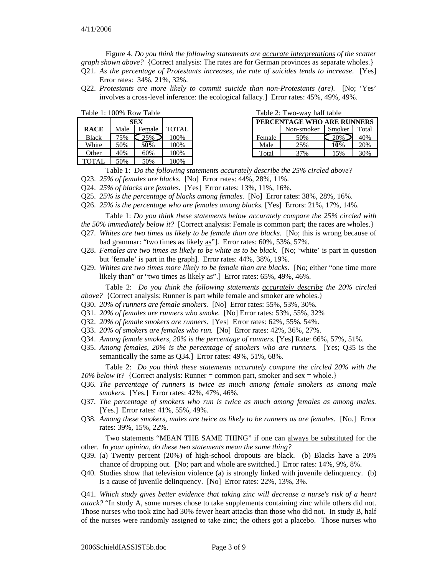Figure 4. *Do you think the following statements are accurate interpretations of the scatter graph shown above?* {Correct analysis: The rates are for German provinces as separate wholes.}

- Q21. *As the percentage of Protestants increases, the rate of suicides tends to increase*. [Yes] Error rates: 34%, 21%, 32%.
- Q22. *Protestants are more likely to commit suicide than non-Protestants (are).* [No; 'Yes' involves a cross-level inference: the ecological fallacy.] Error rates: 45%, 49%, 49%.

| Table 1: 100% Row Table |      |        |              |  |  |  |
|-------------------------|------|--------|--------------|--|--|--|
|                         |      |        |              |  |  |  |
| <b>RACE</b>             | Male | Female | <b>TOTAL</b> |  |  |  |
| <b>Black</b>            | 75%  | $25\%$ | 100%         |  |  |  |
| White                   | 50%  | 50%    | 100%         |  |  |  |
| Other                   | 40%  | 60%    | 100%         |  |  |  |
| <b>TOTAL</b>            | 50%  | 50%    | 100%         |  |  |  |

|  | Table 2: Two-way half table |  |  |
|--|-----------------------------|--|--|
|--|-----------------------------|--|--|

| $10010 E$ . Involved hall tuble |            |        |       |  |  |  |  |
|---------------------------------|------------|--------|-------|--|--|--|--|
| PERCENTAGE WHO ARE RUNNERS      |            |        |       |  |  |  |  |
|                                 | Non-smoker | Smoker | Total |  |  |  |  |
| Female                          | 50%        | 20%    | 40%   |  |  |  |  |
| Male                            | 25%        | 10%    | 20%   |  |  |  |  |
| Total                           | 37%        | 15%    | 30%   |  |  |  |  |

Table 1: *Do the following statements accurately describe the 25% circled above?*

- Q23. *25% of females are blacks.* [No] Error rates: 44%, 28%, 11%.
- Q24. *25% of blacks are females.* [Yes] Error rates: 13%, 11%, 16%.
- Q25. *25% is the percentage of blacks among females.* [No] Error rates: 38%, 28%, 16%.
- Q26. *25% is the percentage who are females among blacks.* [Yes] Errors: 21%, 17%, 14%.

Table 1: *Do you think these statements below accurately compare the 25% circled with the 50% immediately below it?* [Correct analysis: Female is common part; the races are wholes.}

- Q27. *Whites are two times as likely to be female than are blacks.* [No; this is wrong because of bad grammar: "two times as likely as"]. Error rates: 60%, 53%, 57%.
- Q28. *Females are two times as likely to be white as to be black.* [No; 'white' is part in question but 'female' is part in the graph]. Error rates: 44%, 38%, 19%.
- Q29. *Whites are two times more likely to be female than are blacks.* [No; either "one time more likely than" or "two times as likely as".] Error rates: 65%, 49%, 46%.
- Table 2: *Do you think the following statements accurately describe the 20% circled above?* {Correct analysis: Runner is part while female and smoker are wholes.}
- Q30. *20% of runners are female smokers.* [No] Error rates: 55%, 53%, 30%.
- Q31. *20% of females are runners who smoke.* [No] Error rates: 53%, 55%, 32%
- Q32. *20% of female smokers are runners.* [Yes] Error rates: 62%, 55%, 54%.
- Q33. *20% of smokers are females who run.* [No] Error rates: 42%, 36%, 27%.
- Q34. *Among female smokers, 20% is the percentage of runners.* [Yes] Rate: 66%, 57%, 51%.
- Q35. *Among females, 20% is the percentage of smokers who are runners.* [Yes; Q35 is the semantically the same as Q34.] Error rates: 49%, 51%, 68%.

Table 2: *Do you think these statements accurately compare the circled 20% with the 10% below it?* {Correct analysis: Runner = common part, smoker and sex = whole.}

- Q36. *The percentage of runners is twice as much among female smokers as among male smokers.* [Yes.] Error rates: 42%, 47%, 46%.
- Q37. *The percentage of smokers who run is twice as much among females as among males.* [Yes.] Error rates: 41%, 55%, 49%.
- Q38. *Among these smokers, males are twice as likely to be runners as are females.* [No.] Error rates: 39%, 15%, 22%.

Two statements "MEAN THE SAME THING" if one can always be substituted for the other. *In your opinion, do these two statements mean the same thing?*

- Q39. (a) Twenty percent (20%) of high-school dropouts are black. (b) Blacks have a 20% chance of dropping out. [No; part and whole are switched.] Error rates: 14%, 9%, 8%.
- Q40. Studies show that television violence (a) is strongly linked with juvenile delinquency. (b) is a cause of juvenile delinquency. [No] Error rates: 22%, 13%, 3%.

Q41. *Which study gives better evidence that taking zinc will decrease a nurse's risk of a heart attack?* "In study A, some nurses chose to take supplements containing zinc while others did not. Those nurses who took zinc had 30% fewer heart attacks than those who did not. In study B, half of the nurses were randomly assigned to take zinc; the others got a placebo. Those nurses who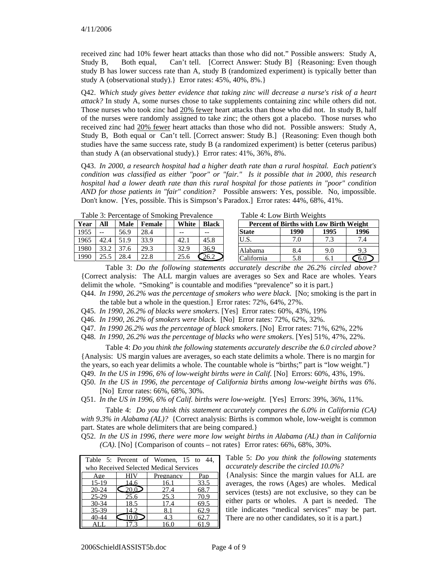received zinc had 10% fewer heart attacks than those who did not." Possible answers: Study A, Study B, Both equal, Can't tell. [Correct Answer: Study B] {Reasoning: Even though study B has lower success rate than A, study B (randomized experiment) is typically better than study A (observational study).} Error rates: 45%, 40%, 8%.}

Q42. *Which study gives better evidence that taking zinc will decrease a nurse's risk of a heart attack?* In study A, some nurses chose to take supplements containing zinc while others did not. Those nurses who took zinc had 20% fewer heart attacks than those who did not. In study B, half of the nurses were randomly assigned to take zinc; the others got a placebo. Those nurses who received zinc had 20% fewer heart attacks than those who did not. Possible answers: Study A, Study B, Both equal or Can't tell. [Correct answer: Study B.] {Reasoning: Even though both studies have the same success rate, study B (a randomized experiment) is better (ceterus paribus) than study A (an observational study).} Error rates: 41%, 36%, 8%.

Q43. *In 2000, a research hospital had a higher death rate than a rural hospital. Each patient's condition was classified as either "poor" or "fair." Is it possible that in 2000, this research hospital had a lower death rate than this rural hospital for those patients in "poor" condition AND for those patients in "fair" condition?* Possible answers: Yes, possible. No, impossible. Don't know. [Yes, possible. This is Simpson's Paradox.] Error rates: 44%, 68%, 41%.

Table 3: Percentage of Smoking Prevalence

| Year | All  | <b>Male</b> | Female |  | White | <b>Black</b> |  |
|------|------|-------------|--------|--|-------|--------------|--|
| 1955 |      | 56.9        | 28.4   |  |       |              |  |
| 1965 | 42.4 | 51.9        | 33.9   |  | 42.1  | 45.8         |  |
| 1980 | 33.2 | 37.6        | 29.3   |  | 32.9  | 36.9         |  |
| 1990 | 25.5 | 28.4        | 22.8   |  | 25.6  |              |  |

Table 4: Low Birth Weights

| Percent of Births with Low Birth Weight |     |     |     |  |  |  |  |
|-----------------------------------------|-----|-----|-----|--|--|--|--|
| 1995<br><b>State</b><br>1990<br>1996    |     |     |     |  |  |  |  |
| U.S.                                    | 7.O | 7.3 | 7.4 |  |  |  |  |
| Alabama                                 | 8.4 | 9.0 | 9.3 |  |  |  |  |
| California                              | 5.8 |     |     |  |  |  |  |

Table 3: *Do the following statements accurately describe the 26.2% circled above?* {Correct analysis: The ALL margin values are averages so Sex and Race are wholes. Years delimit the whole. "Smoking" is countable and modifies "prevalence" so it is part.}

Q44. *In 1990, 26.2% was the percentage of smokers who were black*. [No; smoking is the part in the table but a whole in the question.] Error rates: 72%, 64%, 27%.

Q45. *In 1990, 26.2% of blacks were smokers*. [Yes] Error rates: 60%, 43%, 19%

Q46. *In 1990, 26.2% of smokers were black.* [No] Error rates: 72%, 62%, 32%.

Q47. *In 1990 26.2% was the percentage of black smokers*. [No] Error rates: 71%, 62%, 22%

Q48. *In 1990, 26.2% was the percentage of blacks who were smokers*. [Yes] 51%, 47%, 22%.

Table 4: *Do you think the following statements accurately describe the 6.0 circled above?* {Analysis: US margin values are averages, so each state delimits a whole. There is no margin for the years, so each year delimits a whole. The countable whole is "births;" part is "low weight."} Q49. *In the US in 1996, 6% of low-weight births were in Calif.* [No] Errors: 60%, 43%, 19%.

Q50. *In the US in 1996, the percentage of California births among low-weight births was 6%*. [No] Error rates: 66%, 68%, 30%.

Q51. *In the US in 1996, 6% of Calif. births were low-weight*. [Yes] Errors: 39%, 36%, 11%.

Table 4: *Do you think this statement accurately compares the 6.0% in California (CA) with 9.3% in Alabama (AL)?* {Correct analysis: Births is common whole, low-weight is common part. States are whole delimiters that are being compared.}

Q52. *In the US in 1996, there were more low weight births in Alabama (AL) than in California (CA)*. [No] {Comparison of counts – not rates} Error rates:  $66\%, 68\%, 30\%$ .

|           |                                        | Table 5: Percent of Women, 15 to 44, |      |  |  |  |  |  |
|-----------|----------------------------------------|--------------------------------------|------|--|--|--|--|--|
|           | who Received Selected Medical Services |                                      |      |  |  |  |  |  |
| Age       | <b>HIV</b>                             | Pregnancy                            | Pap  |  |  |  |  |  |
| $15-19$   | 14.6                                   | 16.1                                 | 33.5 |  |  |  |  |  |
| $20 - 24$ | $\mathsf{C}20.02$                      | 27.4                                 | 68.7 |  |  |  |  |  |
| $25 - 29$ | 25.6                                   | 25.3                                 | 70.9 |  |  |  |  |  |
| $30 - 34$ | 18.5                                   | 17.4                                 | 69.5 |  |  |  |  |  |
| 35-39     | 14.2                                   |                                      |      |  |  |  |  |  |
| 40-44     |                                        | 4.3                                  | 62.7 |  |  |  |  |  |
|           |                                        | 16.0                                 |      |  |  |  |  |  |

Table 5: *Do you think the following statements accurately describe the circled 10.0%?*

{Analysis: Since the margin values for ALL are averages, the rows (Ages) are wholes. Medical services (tests) are not exclusive, so they can be either parts or wholes. A part is needed. The title indicates "medical services" may be part. There are no other candidates, so it is a part.}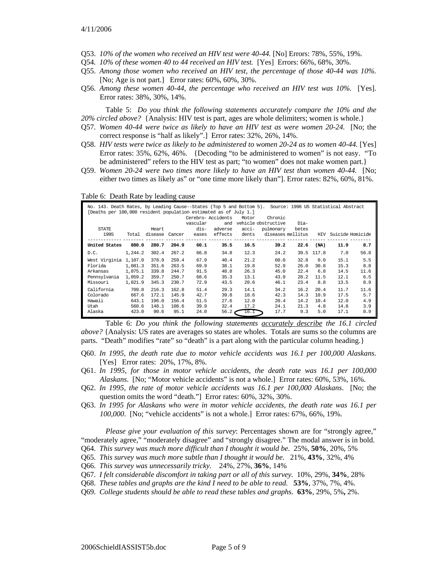- Q53. *10% of the women who received an HIV test were 40-44.* [No] Errors: 78%, 55%, 19%.
- Q54. *10% of these women 40 to 44 received an HIV test.* [Yes] Errors: 66%, 68%, 30%.
- Q55. *Among those women who received an HIV test, the percentage of those 40-44 was 10%.* [No; Age is not part.] Error rates: 60%, 60%, 30%.
- Q56. *Among these women 40-44, the percentage who received an HIV test was 10%.* [Yes]. Error rates: 38%, 30%, 14%.

Table 5: *Do you think the following statements accurately compare the 10% and the 20% circled above?* {Analysis: HIV test is part, ages are whole delimiters; women is whole.}

- Q57. *Women 40-44 were twice as likely to have an HIV test as were women 20-24.* [No; the correct response is "half as likely".] Error rates: 32%, 26%, 14%.
- Q58. *HIV tests were twice as likely to be administered to women 20-24 as to women 40-44.* [Yes] Error rates: 35%, 62%, 46%. {Decoding "to be administered to women" is not easy. "To be administered" refers to the HIV test as part; "to women" does not make women part.}
- Q59. *Women 20-24 were two times more likely to have an HIV test than women 40-44.* [No; either two times as likely as" or "one time more likely than"]. Error rates: 82%, 60%, 81%.

Table 6: Death Rate by leading cause

| No. 143. Death Rates, by Leading Cause--States (Top 5 and Bottom 5). Source: 1998 US Statistical Abstract<br>[Deaths per 100,000 resident population estimated as of July 1.] |         |         |        | vascular | Cerebro-Accidents<br>and | Motor | Chronic<br>vehicle obstructive | Dia-  |            |                  |      |
|-------------------------------------------------------------------------------------------------------------------------------------------------------------------------------|---------|---------|--------|----------|--------------------------|-------|--------------------------------|-------|------------|------------------|------|
| STATE                                                                                                                                                                         |         | Heart   |        | dis-     | adverse                  | acci- | pulmonary                      | betes |            |                  |      |
| 1995                                                                                                                                                                          | Total   | disease | Cancer | eases    | effects                  | dents | diseases mellitus              |       | HIV        | Suicide Homicide |      |
| United States                                                                                                                                                                 | 880.0   | 280.7   | 204.9  | 60.1     | 35.5                     | 16.5  | 39.2                           | 22.6  | (NA)       | 11.9             | 8.7  |
| D.C.                                                                                                                                                                          | 1,244.2 | 302.4   | 267.2  | 66.8     | 34.8                     | 12.3  | 24.2                           |       | 39.5 117.8 | 7.0              | 56.8 |
| West Virginia 1,107.0                                                                                                                                                         |         | 378.9   | 259.4  | 67.9     | 40.4                     | 21.2  | 60.0                           | 32.8  | 0.0        | 15.1             | 5.5  |
| Florida                                                                                                                                                                       | 1,081.3 | 351.6   | 263.5  | 69.9     | 38.1                     | 19.8  | 52.9                           | 26.0  | 30.8       | 15.3             | 8.8  |
| Arkansas                                                                                                                                                                      | 1,075.1 | 339.8   | 244.7  | 91.5     | 48.8                     | 26.3  | 45.0                           | 22.4  | 6.8        | 14.5             | 11.6 |
| Pennsylvania                                                                                                                                                                  | 1,059.2 | 359.7   | 250.7  | 68.6     | 35.3                     | 13.1  | 43.9                           | 28.2  | 11.5       | 12.1             | 6.5  |
| Missouri                                                                                                                                                                      | 1,021.9 | 345.3   | 230.7  | 72.9     | 43.5                     | 20.6  | 46.1                           | 23.4  | 8.8        | 13.5             | 8.9  |
| California                                                                                                                                                                    | 709.8   | 216.3   | 162.8  | 51.4     | 29.3                     | 14.1  | 34.2                           | 16.2  | 20.4       | 11.7             | 11.6 |
| Colorado                                                                                                                                                                      | 667.6   | 172.1   | 145.9  | 42.7     | 39.8                     | 18.6  | 42.3                           | 14.3  | 10.9       | 17.5             | 5.7  |
| Hawaii                                                                                                                                                                        | 643.1   | 196.0   | 156.4  | 51.5     | 27.6                     | 12.0  | 20.4                           | 14.2  | 10.4       | 12.0             | 4.9  |
| Utah                                                                                                                                                                          | 560.6   | 148.1   | 108.6  | 39.9     | 32.4                     | 17.2  | 24.1                           | 21.3  | 4.8        | 14.8             | 3.9  |
| Alaska                                                                                                                                                                        | 423.0   | 90.6    | 95.1   | 24.0     | 56.2                     | 16.1  | 17.7                           | 9.3   | 5.0        | 17.1             | 8.9  |

Table 6: *Do you think the following statements accurately describe the 16.1 circled above?* {Analysis: US rates are averages so states are wholes. Totals are sums so the columns are parts. "Death" modifies "rate" so "death" is a part along with the particular column heading.}

- Q60. *In 1995, the death rate due to motor vehicle accidents was 16.1 per 100,000 Alaskans*. [Yes] Error rates: 20%, 17%, 8%.
- Q61. *In 1995, for those in motor vehicle accidents, the death rate was 16.1 per 100,000 Alaskans*. [No; "Motor vehicle accidents" is not a whole.] Error rates: 60%, 53%, 16%.
- Q62. *In 1995, the rate of motor vehicle accidents was 16.1 per 100,000 Alaskans*. [No; the question omits the word "death."] Error rates: 60%, 32%, 30%.
- Q63. *In 1995 for Alaskans who were in motor vehicle accidents, the death rate was 16.1 per 100,000*. [No; "vehicle accidents" is not a whole.] Error rates: 67%, 66%, 19%.

*Please give your evaluation of this survey*: Percentages shown are for "strongly agree," "moderately agree," "moderately disagree" and "strongly disagree." The modal answer is in bold. Q64. *This survey was much more difficult than I thought it would be*. 25%, **50%**, 20%, 5%

- Q65. *This survey was much more subtle than I thought it would be*. 21%, **43%**, 32%, 4%
- Q66. *This survey was unnecessarily tricky.* 24%, 27%, **36%**, 14%
- Q67. *I felt considerable discomfort in taking part or all of this survey.* 10%, 29%, **34%**, 28%
- Q68. *These tables and graphs are the kind I need to be able to read.* **53%**, 37%, 7%, 4%.
- Q69. *College students should be able to read these tables and graphs.* **63%**, 29%, 5%**,** 2%.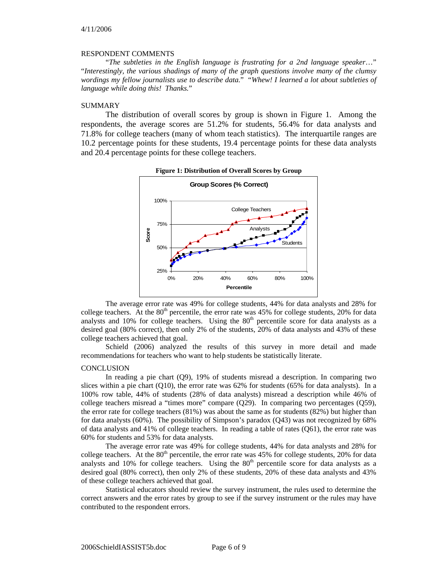#### RESPONDENT COMMENTS

"*The subtleties in the English language is frustrating for a 2nd language speaker*…" "*Interestingly, the various shadings of many of the graph questions involve many of the clumsy wordings my fellow journalists use to describe data.*" "*Whew! I learned a lot about subtleties of language while doing this! Thanks.*"

#### SUMMARY

The distribution of overall scores by group is shown in Figure 1. Among the respondents, the average scores are 51.2% for students, 56.4% for data analysts and 71.8% for college teachers (many of whom teach statistics). The interquartile ranges are 10.2 percentage points for these students, 19.4 percentage points for these data analysts and 20.4 percentage points for these college teachers.



**Figure 1: Distribution of Overall Scores by Group** 

The average error rate was 49% for college students, 44% for data analysts and 28% for college teachers. At the  $80<sup>th</sup>$  percentile, the error rate was 45% for college students, 20% for data analysts and 10% for college teachers. Using the  $80<sup>th</sup>$  percentile score for data analysts as a desired goal (80% correct), then only 2% of the students, 20% of data analysts and 43% of these college teachers achieved that goal.

Schield (2006) analyzed the results of this survey in more detail and made recommendations for teachers who want to help students be statistically literate.

#### **CONCLUSION**

In reading a pie chart (Q9), 19% of students misread a description. In comparing two slices within a pie chart  $(010)$ , the error rate was 62% for students  $(65\%$  for data analysts). In a 100% row table, 44% of students (28% of data analysts) misread a description while 46% of college teachers misread a "times more" compare (Q29). In comparing two percentages (Q59), the error rate for college teachers (81%) was about the same as for students (82%) but higher than for data analysts (60%). The possibility of Simpson's paradox (Q43) was not recognized by 68% of data analysts and 41% of college teachers. In reading a table of rates (Q61), the error rate was 60% for students and 53% for data analysts.

The average error rate was 49% for college students, 44% for data analysts and 28% for college teachers. At the  $80<sup>th</sup>$  percentile, the error rate was 45% for college students, 20% for data analysts and  $10\%$  for college teachers. Using the  $80<sup>th</sup>$  percentile score for data analysts as a desired goal (80% correct), then only 2% of these students, 20% of these data analysts and 43% of these college teachers achieved that goal.

Statistical educators should review the survey instrument, the rules used to determine the correct answers and the error rates by group to see if the survey instrument or the rules may have contributed to the respondent errors.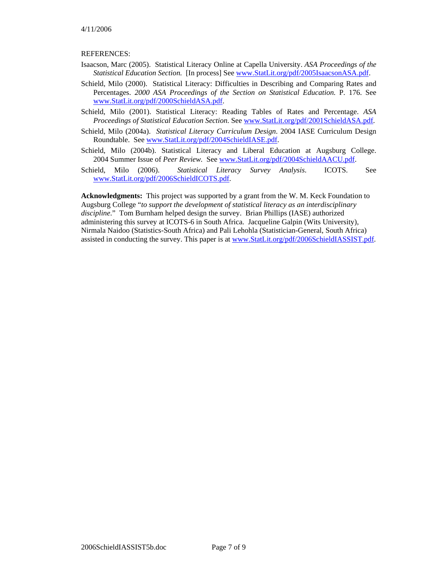### REFERENCES:

- Isaacson, Marc (2005). Statistical Literacy Online at Capella University. *ASA Proceedings of the Statistical Education Section.* [In process] See www.StatLit.org/pdf/2005IsaacsonASA.pdf.
- Schield, Milo (2000). Statistical Literacy: Difficulties in Describing and Comparing Rates and Percentages. *2000 ASA Proceedings of the Section on Statistical Education.* P. 176. See www.StatLit.org/pdf/2000SchieldASA.pdf.
- Schield, Milo (2001). Statistical Literacy: Reading Tables of Rates and Percentage. *ASA Proceedings of Statistical Education Section*. See www.StatLit.org/pdf/2001SchieldASA.pdf.
- Schield, Milo (2004a). *Statistical Literacy Curriculum Design*. 2004 IASE Curriculum Design Roundtable. See www.StatLit.org/pdf/2004SchieldIASE.pdf.
- Schield, Milo (2004b). Statistical Literacy and Liberal Education at Augsburg College. 2004 Summer Issue of *Peer Review.* See www.StatLit.org/pdf/2004SchieldAACU.pdf.
- Schield, Milo (2006). *Statistical Literacy Survey Analysis*. ICOTS. See www.StatLit.org/pdf/2006SchieldICOTS.pdf.

**Acknowledgments:** This project was supported by a grant from the W. M. Keck Foundation to Augsburg College "*to support the development of statistical literacy as an interdisciplinary discipline*." Tom Burnham helped design the survey. Brian Phillips (IASE) authorized administering this survey at ICOTS-6 in South Africa. Jacqueline Galpin (Wits University), Nirmala Naidoo (Statistics-South Africa) and Pali Lehohla (Statistician-General, South Africa) assisted in conducting the survey. This paper is at www.StatLit.org/pdf/2006SchieldIASSIST.pdf.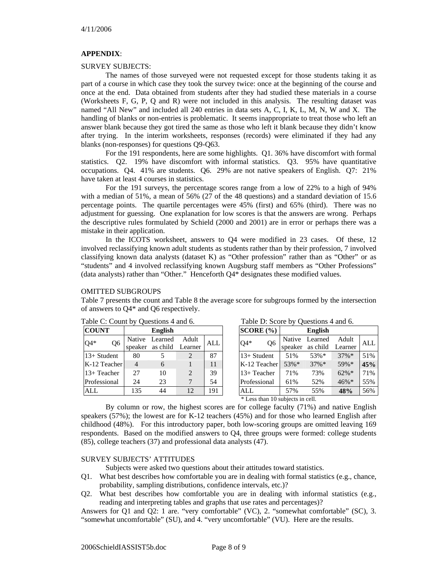## **APPENDIX**:

### SURVEY SUBJECTS:

The names of those surveyed were not requested except for those students taking it as part of a course in which case they took the survey twice: once at the beginning of the course and once at the end. Data obtained from students after they had studied these materials in a course (Worksheets F, G, P, Q and R) were not included in this analysis. The resulting dataset was named "All New" and included all 240 entries in data sets A, C, I, K, L, M, N, W and X. The handling of blanks or non-entries is problematic. It seems inappropriate to treat those who left an answer blank because they got tired the same as those who left it blank because they didn't know after trying. In the interim worksheets, responses (records) were eliminated if they had any blanks (non-responses) for questions Q9-Q63.

For the 191 respondents, here are some highlights. Q1. 36% have discomfort with formal statistics. Q2. 19% have discomfort with informal statistics. Q3. 95% have quantitative occupations. Q4. 41% are students. Q6. 29% are not native speakers of English. Q7: 21% have taken at least 4 courses in statistics.

For the 191 surveys, the percentage scores range from a low of 22% to a high of 94% with a median of 51%, a mean of 56% (27 of the 48 questions) and a standard deviation of 15.6 percentage points. The quartile percentages were 45% (first) and 65% (third). There was no adjustment for guessing. One explanation for low scores is that the answers are wrong. Perhaps the descriptive rules formulated by Schield (2000 and 2001) are in error or perhaps there was a mistake in their application.

In the ICOTS worksheet, answers to Q4 were modified in 23 cases. Of these, 12 involved reclassifying known adult students as students rather than by their profession, 7 involved classifying known data analysts (dataset K) as "Other profession" rather than as "Other" or as "students" and 4 involved reclassifying known Augsburg staff members as "Other Professions" (data analysts) rather than "Other." Henceforth Q4\* designates these modified values.

## OMITTED SUBGROUPS

Table 7 presents the count and Table 8 the average score for subgroups formed by the intersection of answers to Q4\* and Q6 respectively.

| <b>COUNT</b>          |     | <b>English</b>   |                |            |
|-----------------------|-----|------------------|----------------|------------|
| )4*<br>O <sub>6</sub> |     | Native Learned   | Adult          | <b>ALL</b> |
|                       |     | speaker as child | Learner        |            |
| 13+ Student           | 80  |                  |                | 87         |
| K-12 Teacher          |     | 6                |                | 11         |
| 13+ Teacher           | 27  | 10               | $\mathfrak{D}$ | 39         |
| Professional          | 24  | 23               |                | 54         |
|                       | 135 |                  | 12             | 191        |

Table C: Count by Questions 4 and 6.

|  |  | Table D: Score by Questions 4 and 6. |  |
|--|--|--------------------------------------|--|
|--|--|--------------------------------------|--|

| SCORE (%)               |         | <b>English</b> |          |     |
|-------------------------|---------|----------------|----------|-----|
| Q <sub>6</sub><br>$Q4*$ | Native  | Learned        | Adult    | ALL |
|                         | speaker | as child       | Learner  |     |
| 13+ Student             | 51%     | 53%*           | $37\%$ * | 51% |
| K-12 Teacher            | 53%*    | $37\%$ *       | 59%*     | 45% |
| 13+ Teacher             | 71%     | 73%            | $62\% *$ | 71% |
| Professional            | 61%     | 52%            | 46%*     | 55% |
| ALL                     | 57%     | 55%            | 48%      | 56% |

\* Less than 10 subjects in cell.

By column or row, the highest scores are for college faculty (71%) and native English speakers (57%); the lowest are for K-12 teachers (45%) and for those who learned English after childhood (48%). For this introductory paper, both low-scoring groups are omitted leaving 169 respondents. Based on the modified answers to Q4, three groups were formed: college students (85), college teachers (37) and professional data analysts (47).

# SURVEY SUBJECTS' ATTITUDES

Subjects were asked two questions about their attitudes toward statistics.

- Q1. What best describes how comfortable you are in dealing with formal statistics (e.g., chance, probability, sampling distributions, confidence intervals, etc.)?
- Q2. What best describes how comfortable you are in dealing with informal statistics (e.g., reading and interpreting tables and graphs that use rates and percentages)?

Answers for Q1 and Q2: 1 are. "very comfortable" (VC), 2. "somewhat comfortable" (SC), 3. "somewhat uncomfortable" (SU), and 4. "very uncomfortable" (VU). Here are the results.